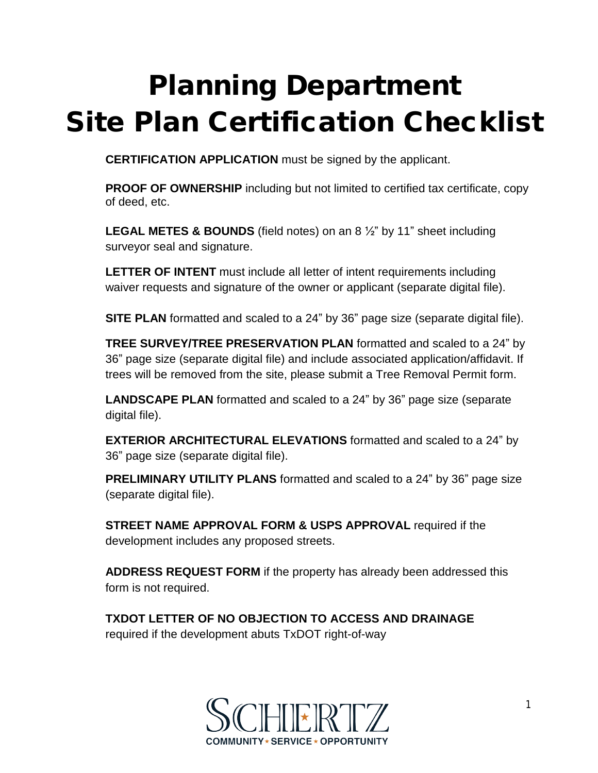## **Planning Department Site Plan Certification Checklist**

**CERTIFICATION APPLICATION** must be signed by the applicant.

**PROOF OF OWNERSHIP** including but not limited to certified tax certificate, copy of deed, etc.

**LEGAL METES & BOUNDS** (field notes) on an 8 ½" by 11" sheet including surveyor seal and signature.

**LETTER OF INTENT** must include all letter of intent requirements including waiver requests and signature of the owner or applicant (separate digital file).

**SITE PLAN** formatted and scaled to a 24" by 36" page size (separate digital file).

**TREE SURVEY/TREE PRESERVATION PLAN** formatted and scaled to a 24" by 36" page size (separate digital file) and include associated application/affidavit. If trees will be removed from the site, please submit a Tree Removal Permit form.

**LANDSCAPE PLAN** formatted and scaled to a 24" by 36" page size (separate digital file).

**EXTERIOR ARCHITECTURAL ELEVATIONS** formatted and scaled to a 24" by 36" page size (separate digital file).

**PRELIMINARY UTILITY PLANS** formatted and scaled to a 24" by 36" page size (separate digital file).

**STREET NAME APPROVAL FORM & USPS APPROVAL** required if the development includes any proposed streets.

**ADDRESS REQUEST FORM** if the property has already been addressed this form is not required.

**TXDOT LETTER OF NO OBJECTION TO ACCESS AND DRAINAGE** required if the development abuts TxDOT right-of-way

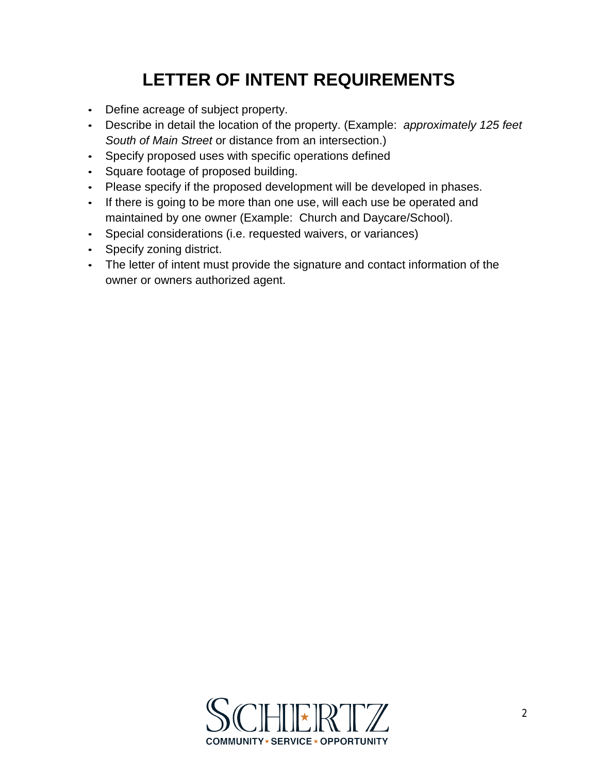## **LETTER OF INTENT REQUIREMENTS**

- Define acreage of subject property.
- Describe in detail the location of the property. (Example: *approximately 125 feet South of Main Street* or distance from an intersection.)
- Specify proposed uses with specific operations defined
- Square footage of proposed building.
- Please specify if the proposed development will be developed in phases.
- If there is going to be more than one use, will each use be operated and maintained by one owner (Example: Church and Daycare/School).
- Special considerations (i.e. requested waivers, or variances)
- Specify zoning district.
- The letter of intent must provide the signature and contact information of the owner or owners authorized agent.

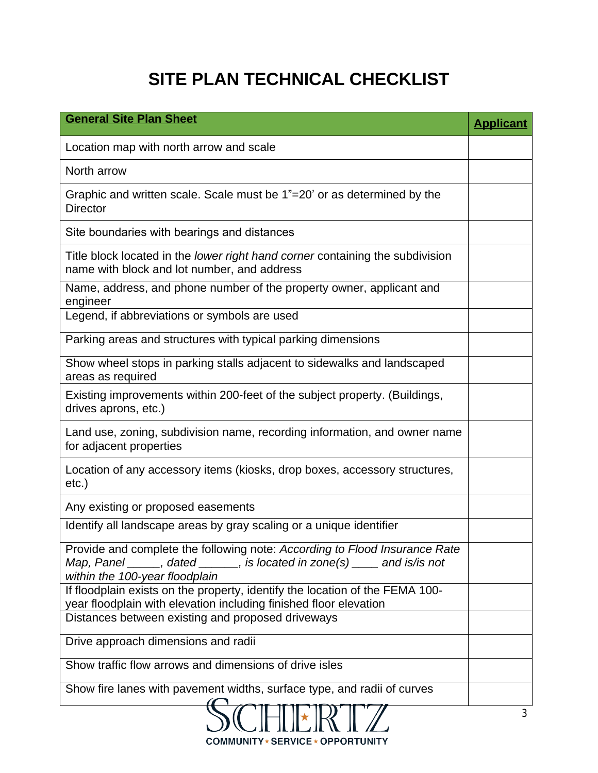## **SITE PLAN TECHNICAL CHECKLIST**

| <b>General Site Plan Sheet</b>                                                                                                                                                                         | <b>Applicant</b> |
|--------------------------------------------------------------------------------------------------------------------------------------------------------------------------------------------------------|------------------|
| Location map with north arrow and scale                                                                                                                                                                |                  |
| North arrow                                                                                                                                                                                            |                  |
| Graphic and written scale. Scale must be 1"=20' or as determined by the<br><b>Director</b>                                                                                                             |                  |
| Site boundaries with bearings and distances                                                                                                                                                            |                  |
| Title block located in the lower right hand corner containing the subdivision<br>name with block and lot number, and address                                                                           |                  |
| Name, address, and phone number of the property owner, applicant and<br>engineer                                                                                                                       |                  |
| Legend, if abbreviations or symbols are used                                                                                                                                                           |                  |
| Parking areas and structures with typical parking dimensions                                                                                                                                           |                  |
| Show wheel stops in parking stalls adjacent to sidewalks and landscaped<br>areas as required                                                                                                           |                  |
| Existing improvements within 200-feet of the subject property. (Buildings,<br>drives aprons, etc.)                                                                                                     |                  |
| Land use, zoning, subdivision name, recording information, and owner name<br>for adjacent properties                                                                                                   |                  |
| Location of any accessory items (kiosks, drop boxes, accessory structures,<br>etc.)                                                                                                                    |                  |
| Any existing or proposed easements                                                                                                                                                                     |                  |
| Identify all landscape areas by gray scaling or a unique identifier                                                                                                                                    |                  |
| Provide and complete the following note: According to Flood Insurance Rate<br>Map, Panel $\_\_\_\$ , dated $\_\_\_\$ , is located in zone(s) $\_\_\_\$ and is/is not<br>within the 100-year floodplain |                  |
| If floodplain exists on the property, identify the location of the FEMA 100-<br>year floodplain with elevation including finished floor elevation                                                      |                  |
| Distances between existing and proposed driveways                                                                                                                                                      |                  |
| Drive approach dimensions and radii                                                                                                                                                                    |                  |
| Show traffic flow arrows and dimensions of drive isles                                                                                                                                                 |                  |
| Show fire lanes with pavement widths, surface type, and radii of curves                                                                                                                                |                  |
| $\gamma$                                                                                                                                                                                               |                  |

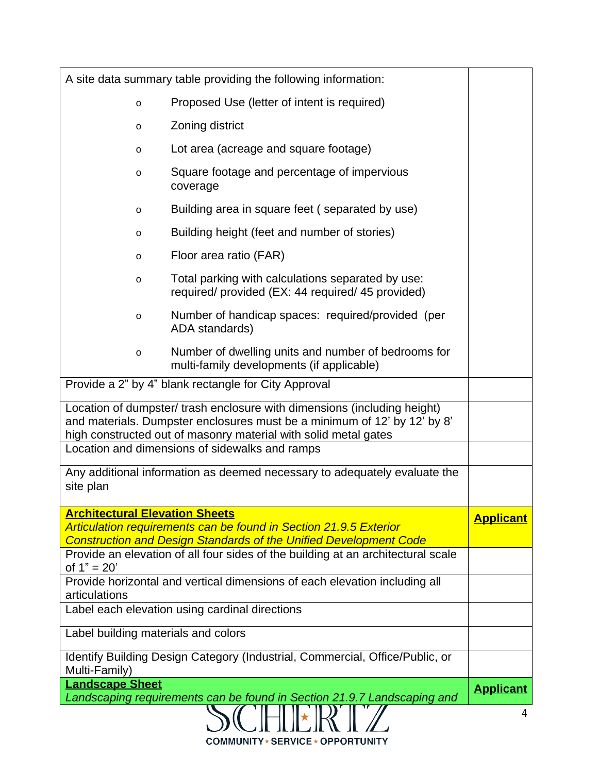| A site data summary table providing the following information:                                                                                                                                                          |                                                                                                                                                                    |                  |  |  |
|-------------------------------------------------------------------------------------------------------------------------------------------------------------------------------------------------------------------------|--------------------------------------------------------------------------------------------------------------------------------------------------------------------|------------------|--|--|
| $\circ$                                                                                                                                                                                                                 | Proposed Use (letter of intent is required)                                                                                                                        |                  |  |  |
| $\circ$                                                                                                                                                                                                                 |                                                                                                                                                                    |                  |  |  |
| $\circ$                                                                                                                                                                                                                 |                                                                                                                                                                    |                  |  |  |
| $\circ$                                                                                                                                                                                                                 | Square footage and percentage of impervious<br>coverage                                                                                                            |                  |  |  |
| $\circ$                                                                                                                                                                                                                 | Building area in square feet (separated by use)                                                                                                                    |                  |  |  |
| $\circ$                                                                                                                                                                                                                 | Building height (feet and number of stories)                                                                                                                       |                  |  |  |
| $\circ$                                                                                                                                                                                                                 | Floor area ratio (FAR)                                                                                                                                             |                  |  |  |
| $\circ$                                                                                                                                                                                                                 | Total parking with calculations separated by use:<br>required/ provided (EX: 44 required/ 45 provided)                                                             |                  |  |  |
| $\circ$                                                                                                                                                                                                                 | Number of handicap spaces: required/provided (per<br>ADA standards)                                                                                                |                  |  |  |
| $\circ$                                                                                                                                                                                                                 | Number of dwelling units and number of bedrooms for<br>multi-family developments (if applicable)                                                                   |                  |  |  |
| Provide a 2" by 4" blank rectangle for City Approval                                                                                                                                                                    |                                                                                                                                                                    |                  |  |  |
| Location of dumpster/ trash enclosure with dimensions (including height)<br>and materials. Dumpster enclosures must be a minimum of 12' by 12' by 8'<br>high constructed out of masonry material with solid metal gates |                                                                                                                                                                    |                  |  |  |
| Location and dimensions of sidewalks and ramps                                                                                                                                                                          |                                                                                                                                                                    |                  |  |  |
| Any additional information as deemed necessary to adequately evaluate the<br>site plan                                                                                                                                  |                                                                                                                                                                    |                  |  |  |
| <b>Architectural Elevation Sheets</b>                                                                                                                                                                                   |                                                                                                                                                                    | <b>Applicant</b> |  |  |
|                                                                                                                                                                                                                         | <b>Articulation requirements can be found in Section 21.9.5 Exterior</b><br><b>Construction and Design Standards of the Unified Development Code</b>               |                  |  |  |
| of $1" = 20'$                                                                                                                                                                                                           | Provide an elevation of all four sides of the building at an architectural scale                                                                                   |                  |  |  |
| Provide horizontal and vertical dimensions of each elevation including all                                                                                                                                              |                                                                                                                                                                    |                  |  |  |
| articulations<br>Label each elevation using cardinal directions                                                                                                                                                         |                                                                                                                                                                    |                  |  |  |
| Label building materials and colors                                                                                                                                                                                     |                                                                                                                                                                    |                  |  |  |
| Identify Building Design Category (Industrial, Commercial, Office/Public, or                                                                                                                                            |                                                                                                                                                                    |                  |  |  |
| Multi-Family)                                                                                                                                                                                                           |                                                                                                                                                                    |                  |  |  |
| <b>Landscape Sheet</b>                                                                                                                                                                                                  |                                                                                                                                                                    |                  |  |  |
|                                                                                                                                                                                                                         | Landscaping requirements can be found in Section 21.9.7 Landscaping and $\left(\begin{array}{c} \begin{matrix} \bullet \end{matrix} \\ \bullet \end{array}\right)$ | 4                |  |  |

**COMMUNITY\*SERVICE\*OPPORTUNITY**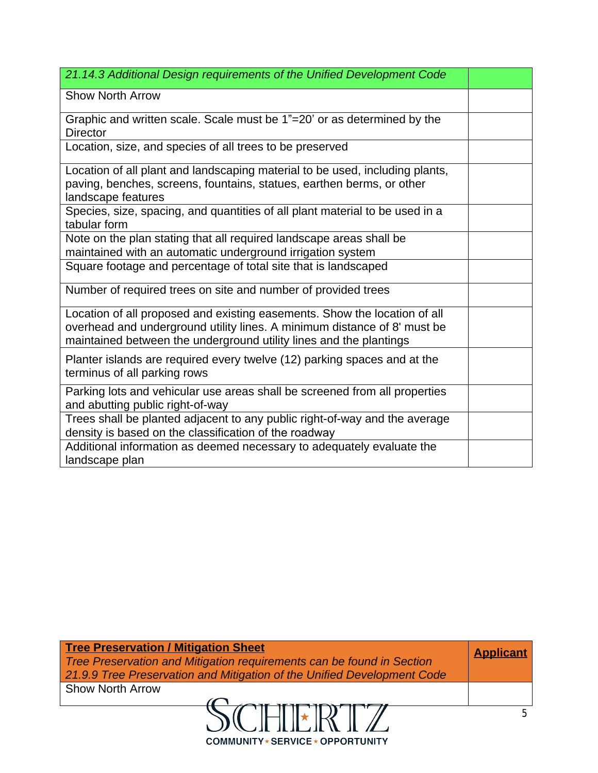| 21.14.3 Additional Design requirements of the Unified Development Code                                                                                                                                                      |  |
|-----------------------------------------------------------------------------------------------------------------------------------------------------------------------------------------------------------------------------|--|
| <b>Show North Arrow</b>                                                                                                                                                                                                     |  |
| Graphic and written scale. Scale must be 1"=20' or as determined by the<br><b>Director</b>                                                                                                                                  |  |
| Location, size, and species of all trees to be preserved                                                                                                                                                                    |  |
| Location of all plant and landscaping material to be used, including plants,<br>paving, benches, screens, fountains, statues, earthen berms, or other<br>landscape features                                                 |  |
| Species, size, spacing, and quantities of all plant material to be used in a<br>tabular form                                                                                                                                |  |
| Note on the plan stating that all required landscape areas shall be<br>maintained with an automatic underground irrigation system                                                                                           |  |
| Square footage and percentage of total site that is landscaped                                                                                                                                                              |  |
| Number of required trees on site and number of provided trees                                                                                                                                                               |  |
| Location of all proposed and existing easements. Show the location of all<br>overhead and underground utility lines. A minimum distance of 8' must be<br>maintained between the underground utility lines and the plantings |  |
| Planter islands are required every twelve (12) parking spaces and at the<br>terminus of all parking rows                                                                                                                    |  |
| Parking lots and vehicular use areas shall be screened from all properties<br>and abutting public right-of-way                                                                                                              |  |
| Trees shall be planted adjacent to any public right-of-way and the average<br>density is based on the classification of the roadway                                                                                         |  |
| Additional information as deemed necessary to adequately evaluate the<br>landscape plan                                                                                                                                     |  |

| <b>Tree Preservation / Mitigation Sheet</b><br>Tree Preservation and Mitigation requirements can be found in Section |  |  |
|----------------------------------------------------------------------------------------------------------------------|--|--|
| 21.9.9 Tree Preservation and Mitigation of the Unified Development Code<br><b>Show North Arrow</b>                   |  |  |
|                                                                                                                      |  |  |

**COMMUNITY\*SERVICE\*OPPORTUNITY**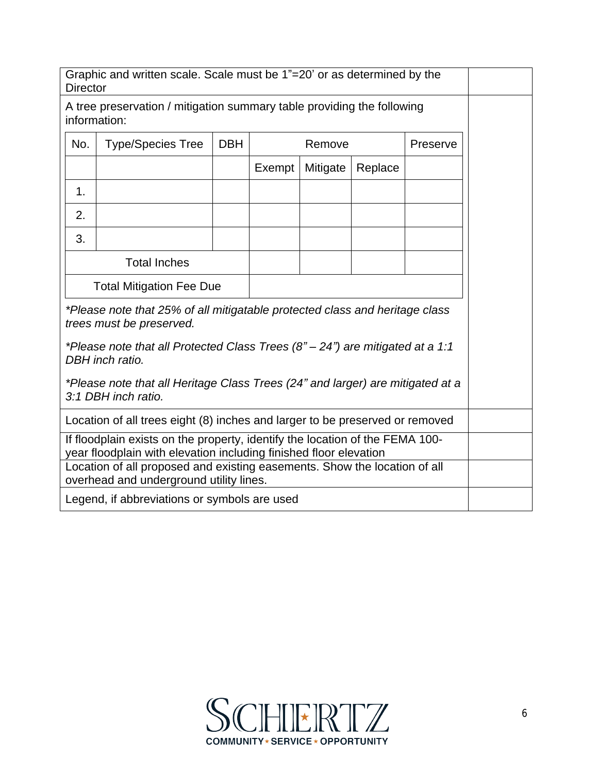| Graphic and written scale. Scale must be 1"=20' or as determined by the<br><b>Director</b>                                                        |                                                                                                       |            |        |          |         |          |  |
|---------------------------------------------------------------------------------------------------------------------------------------------------|-------------------------------------------------------------------------------------------------------|------------|--------|----------|---------|----------|--|
| A tree preservation / mitigation summary table providing the following<br>information:                                                            |                                                                                                       |            |        |          |         |          |  |
| No.                                                                                                                                               | <b>Type/Species Tree</b>                                                                              | <b>DBH</b> | Remove |          |         | Preserve |  |
|                                                                                                                                                   |                                                                                                       |            | Exempt | Mitigate | Replace |          |  |
| 1 <sub>1</sub>                                                                                                                                    |                                                                                                       |            |        |          |         |          |  |
| 2.                                                                                                                                                |                                                                                                       |            |        |          |         |          |  |
| 3.                                                                                                                                                |                                                                                                       |            |        |          |         |          |  |
|                                                                                                                                                   | <b>Total Inches</b>                                                                                   |            |        |          |         |          |  |
| <b>Total Mitigation Fee Due</b>                                                                                                                   |                                                                                                       |            |        |          |         |          |  |
| *Please note that 25% of all mitigatable protected class and heritage class<br>trees must be preserved.                                           |                                                                                                       |            |        |          |         |          |  |
| *Please note that all Protected Class Trees $(87 - 247)$ are mitigated at a 1:1<br>DBH inch ratio.                                                |                                                                                                       |            |        |          |         |          |  |
|                                                                                                                                                   |                                                                                                       |            |        |          |         |          |  |
|                                                                                                                                                   | *Please note that all Heritage Class Trees (24" and larger) are mitigated at a<br>3:1 DBH inch ratio. |            |        |          |         |          |  |
|                                                                                                                                                   | Location of all trees eight (8) inches and larger to be preserved or removed                          |            |        |          |         |          |  |
| If floodplain exists on the property, identify the location of the FEMA 100-<br>year floodplain with elevation including finished floor elevation |                                                                                                       |            |        |          |         |          |  |
| Location of all proposed and existing easements. Show the location of all<br>overhead and underground utility lines.                              |                                                                                                       |            |        |          |         |          |  |
| Legend, if abbreviations or symbols are used                                                                                                      |                                                                                                       |            |        |          |         |          |  |